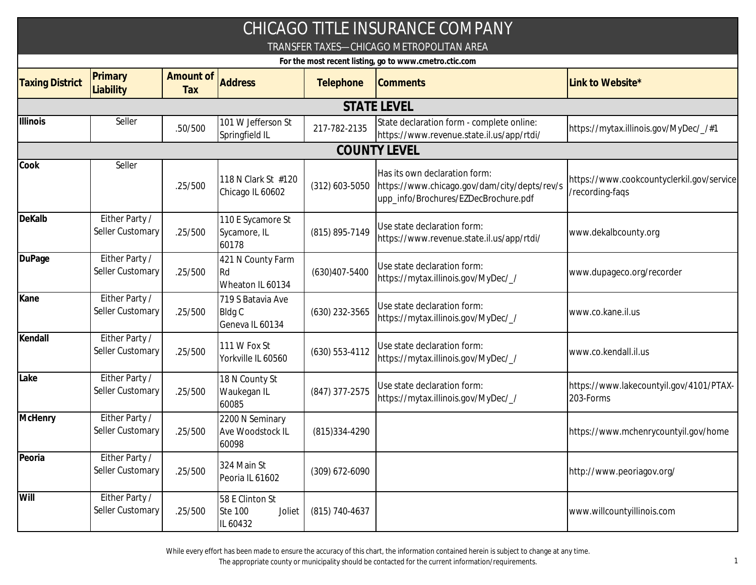|                                                        |                                    |                  |                                                         |                   | CHICAGO TITLE INSURANCE COMPANY                                                                                       |                                                              |  |  |  |
|--------------------------------------------------------|------------------------------------|------------------|---------------------------------------------------------|-------------------|-----------------------------------------------------------------------------------------------------------------------|--------------------------------------------------------------|--|--|--|
|                                                        |                                    |                  |                                                         |                   | TRANSFER TAXES-CHICAGO METROPOLITAN AREA                                                                              |                                                              |  |  |  |
| For the most recent listing, go to www.cmetro.ctic.com |                                    |                  |                                                         |                   |                                                                                                                       |                                                              |  |  |  |
| <b>Taxing District</b>                                 | Primary<br>Liability               | Amount of<br>Tax | <b>Address</b>                                          | Telephone         | <b>Comments</b>                                                                                                       | Link to Website*                                             |  |  |  |
|                                                        |                                    |                  |                                                         |                   | <b>STATE LEVEL</b>                                                                                                    |                                                              |  |  |  |
| <b>Illinois</b>                                        | Seller                             | .50/500          | 101 W Jefferson St<br>Springfield IL                    | 217-782-2135      | State declaration form - complete online:<br>https://www.revenue.state.il.us/app/rtdi/                                | https://mytax.illinois.gov/MyDec/_/#1                        |  |  |  |
|                                                        |                                    |                  |                                                         |                   | <b>COUNTY LEVEL</b>                                                                                                   |                                                              |  |  |  |
| Cook                                                   | Seller                             | .25/500          | 118 N Clark St #120<br>Chicago IL 60602                 | $(312)$ 603-5050  | Has its own declaration form:<br>https://www.chicago.gov/dam/city/depts/rev/s<br>upp_info/Brochures/EZDecBrochure.pdf | https://www.cookcountyclerkil.gov/service<br>/recording-faqs |  |  |  |
| DeKalb                                                 | Either Party /<br>Seller Customary | .25/500          | 110 E Sycamore St<br>Sycamore, IL<br>60178              | (815) 895-7149    | Use state declaration form:<br>https://www.revenue.state.il.us/app/rtdi/                                              | www.dekalbcounty.org                                         |  |  |  |
| <b>DuPage</b>                                          | Either Party /<br>Seller Customary | .25/500          | 421 N County Farm<br>Rd<br>Wheaton IL 60134             | $(630)407 - 5400$ | Use state declaration form:<br>https://mytax.illinois.gov/MyDec/_/                                                    | www.dupageco.org/recorder                                    |  |  |  |
| Kane                                                   | Either Party /<br>Seller Customary | .25/500          | 719 S Batavia Ave<br><b>Bldg C</b><br>Geneva IL 60134   | (630) 232-3565    | Use state declaration form:<br>https://mytax.illinois.gov/MyDec/_/                                                    | www.co.kane.il.us                                            |  |  |  |
| Kendall                                                | Either Party /<br>Seller Customary | .25/500          | 111 W Fox St<br>Yorkville IL 60560                      | (630) 553-4112    | Use state declaration form:<br>https://mytax.illinois.gov/MyDec/_/                                                    | www.co.kendall.il.us                                         |  |  |  |
| Lake                                                   | Either Party /<br>Seller Customary | .25/500          | 18 N County St<br>Waukegan IL<br>60085                  | (847) 377-2575    | Use state declaration form:<br>https://mytax.illinois.gov/MyDec/_/                                                    | https://www.lakecountyil.gov/4101/PTAX-<br>203-Forms         |  |  |  |
| McHenry                                                | Either Party /<br>Seller Customary | .25/500          | 2200 N Seminary<br>Ave Woodstock IL<br>60098            | (815) 334-4290    |                                                                                                                       | https://www.mchenrycountyil.gov/home                         |  |  |  |
| Peoria                                                 | Either Party /<br>Seller Customary | .25/500          | 324 Main St<br>Peoria IL 61602                          | (309) 672-6090    |                                                                                                                       | http://www.peoriagov.org/                                    |  |  |  |
| Will                                                   | Either Party /<br>Seller Customary | .25/500          | 58 E Clinton St<br><b>Ste 100</b><br>Joliet<br>IL 60432 | (815) 740-4637    |                                                                                                                       | www.willcountyillinois.com                                   |  |  |  |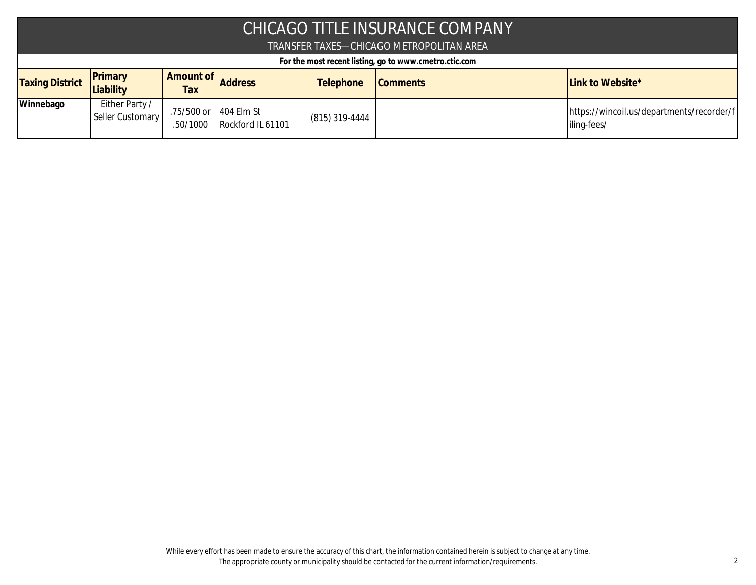| CHICAGO TITLE INSURANCE COMPANY |                                          |                        |                                   |                  |                                                        |                                                          |  |  |
|---------------------------------|------------------------------------------|------------------------|-----------------------------------|------------------|--------------------------------------------------------|----------------------------------------------------------|--|--|
|                                 | TRANSFER TAXES—CHICAGO METROPOLITAN AREA |                        |                                   |                  |                                                        |                                                          |  |  |
|                                 |                                          |                        |                                   |                  | For the most recent listing, go to www.cmetro.ctic.com |                                                          |  |  |
| <b>Taxing District</b>          | Primary<br>Liability                     | Amount of<br>Tax       | <b>Address</b>                    | <b>Telephone</b> | <b>Comments</b>                                        | Link to Website*                                         |  |  |
| Winnebago                       | Either Party /<br>Seller Customary       | .75/500 or<br>.50/1000 | $404$ Elm St<br>Rockford IL 61101 | (815) 319-4444   |                                                        | https://wincoil.us/departments/recorder/f<br>iling-fees/ |  |  |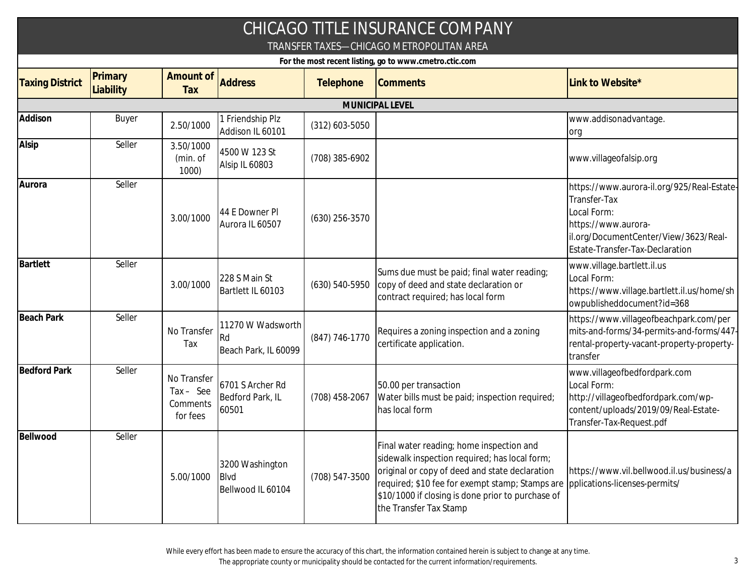|                                                        |                      |                                                    |                                                        |                    | CHICAGO TITLE INSURANCE COMPANY<br>TRANSFER TAXES—CHICAGO METROPOLITAN AREA                                                                                                                                                                                                   |                                                                                                                                                                              |  |  |  |
|--------------------------------------------------------|----------------------|----------------------------------------------------|--------------------------------------------------------|--------------------|-------------------------------------------------------------------------------------------------------------------------------------------------------------------------------------------------------------------------------------------------------------------------------|------------------------------------------------------------------------------------------------------------------------------------------------------------------------------|--|--|--|
| For the most recent listing, go to www.cmetro.ctic.com |                      |                                                    |                                                        |                    |                                                                                                                                                                                                                                                                               |                                                                                                                                                                              |  |  |  |
| <b>Taxing District</b>                                 | Primary<br>Liability | Amount of<br>Tax                                   | <b>Address</b>                                         | Telephone          | <b>Comments</b>                                                                                                                                                                                                                                                               | Link to Website*                                                                                                                                                             |  |  |  |
|                                                        |                      |                                                    |                                                        |                    | MUNICIPAL LEVEL                                                                                                                                                                                                                                                               |                                                                                                                                                                              |  |  |  |
| Addison                                                | Buyer                | 2.50/1000                                          | 1 Friendship Plz<br>Addison IL 60101                   | $(312)$ 603-5050   |                                                                                                                                                                                                                                                                               | www.addisonadvantage.<br>org                                                                                                                                                 |  |  |  |
| Alsip                                                  | Seller               | 3.50/1000<br>(min. of<br>1000                      | 4500 W 123 St<br>Alsip IL 60803                        | (708) 385-6902     |                                                                                                                                                                                                                                                                               | www.villageofalsip.org                                                                                                                                                       |  |  |  |
| Aurora                                                 | Seller               | 3.00/1000                                          | 44 E Downer PI<br>Aurora IL 60507                      | $(630)$ 256-3570   |                                                                                                                                                                                                                                                                               | https://www.aurora-il.org/925/Real-Estate-<br>Transfer-Tax<br>Local Form:<br>https://www.aurora-<br>il.org/DocumentCenter/View/3623/Real-<br>Estate-Transfer-Tax-Declaration |  |  |  |
| <b>Bartlett</b>                                        | Seller               | 3.00/1000                                          | 228 S Main St<br>Bartlett IL 60103                     | $(630) 540 - 5950$ | Sums due must be paid; final water reading;<br>copy of deed and state declaration or<br>contract required; has local form                                                                                                                                                     | www.village.bartlett.il.us<br>Local Form:<br>https://www.village.bartlett.il.us/home/sh<br>owpublisheddocument?id=368                                                        |  |  |  |
| <b>Beach Park</b>                                      | Seller               | No Transfer<br>Tax                                 | 11270 W Wadsworth<br><b>Rd</b><br>Beach Park, IL 60099 | (847) 746-1770     | Requires a zoning inspection and a zoning<br>certificate application.                                                                                                                                                                                                         | https://www.villageofbeachpark.com/per<br>mits-and-forms/34-permits-and-forms/447-<br>rental-property-vacant-property-property-<br>transfer                                  |  |  |  |
| <b>Bedford Park</b>                                    | Seller               | No Transfer<br>$Tax - See$<br>Comments<br>for fees | 6701 S Archer Rd<br>Bedford Park, IL<br>60501          | (708) 458-2067     | 50.00 per transaction<br>Water bills must be paid; inspection required;<br>has local form                                                                                                                                                                                     | www.villageofbedfordpark.com<br>Local Form:<br>http://villageofbedfordpark.com/wp-<br>content/uploads/2019/09/Real-Estate-<br>Transfer-Tax-Request.pdf                       |  |  |  |
| Bellwood                                               | Seller               | 5.00/1000                                          | 3200 Washington<br><b>Blvd</b><br>Bellwood IL 60104    | (708) 547-3500     | Final water reading; home inspection and<br>sidewalk inspection required; has local form;<br>original or copy of deed and state declaration<br>required; \$10 fee for exempt stamp; Stamps are<br>\$10/1000 if closing is done prior to purchase of<br>the Transfer Tax Stamp | https://www.vil.bellwood.il.us/business/a<br>pplications-licenses-permits/                                                                                                   |  |  |  |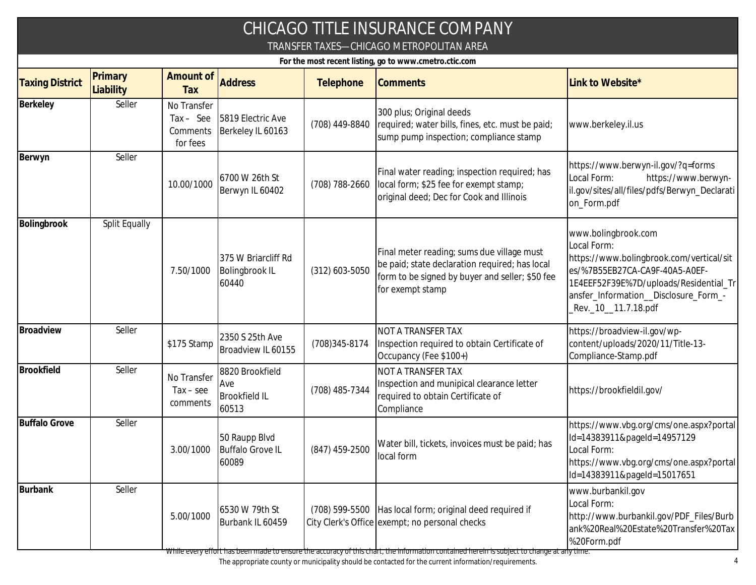| CHICAGO TITLE INSURANCE COMPANY<br>TRANSFER TAXES-CHICAGO METROPOLITAN AREA<br>For the most recent listing, go to www.cmetro.ctic.com |               |                                                    |                                                         |                  |                                                                                                                                                                     |                                                                                                                                                                                                                             |  |  |  |
|---------------------------------------------------------------------------------------------------------------------------------------|---------------|----------------------------------------------------|---------------------------------------------------------|------------------|---------------------------------------------------------------------------------------------------------------------------------------------------------------------|-----------------------------------------------------------------------------------------------------------------------------------------------------------------------------------------------------------------------------|--|--|--|
|                                                                                                                                       |               |                                                    |                                                         |                  |                                                                                                                                                                     |                                                                                                                                                                                                                             |  |  |  |
| Berkeley                                                                                                                              | Seller        | No Transfer<br>$Tax - See$<br>Comments<br>for fees | 5819 Electric Ave<br>Berkeley IL 60163                  | (708) 449-8840   | 300 plus; Original deeds<br>required; water bills, fines, etc. must be paid;<br>sump pump inspection; compliance stamp                                              | www.berkeley.il.us                                                                                                                                                                                                          |  |  |  |
| Berwyn                                                                                                                                | Seller        | 10.00/1000                                         | 6700 W 26th St<br>Berwyn IL 60402                       | (708) 788-2660   | Final water reading; inspection required; has<br>local form; \$25 fee for exempt stamp;<br>original deed; Dec for Cook and Illinois                                 | https://www.berwyn-il.gov/?q=forms<br>https://www.berwyn-<br>Local Form:<br>il.gov/sites/all/files/pdfs/Berwyn_Declarati<br>on_Form.pdf                                                                                     |  |  |  |
| Bolingbrook                                                                                                                           | Split Equally | 7.50/1000                                          | 375 W Briarcliff Rd<br><b>Bolingbrook IL</b><br>60440   | $(312)$ 603-5050 | Final meter reading; sums due village must<br>be paid; state declaration required; has local<br>form to be signed by buyer and seller; \$50 fee<br>for exempt stamp | www.bolingbrook.com<br>Local Form:<br>https://www.bolingbrook.com/vertical/sit<br>es/%7B55EB27CA-CA9F-40A5-A0EF-<br>1E4EEF52F39E%7D/uploads/Residential_Tr<br>ansfer_Information__Disclosure_Form_-<br>Rev._10__11.7.18.pdf |  |  |  |
| Broadview                                                                                                                             | Seller        | \$175 Stamp                                        | 2350 S 25th Ave<br>Broadview IL 60155                   | (708) 345-8174   | <b>NOT A TRANSFER TAX</b><br>Inspection required to obtain Certificate of<br>Occupancy (Fee \$100+)                                                                 | https://broadview-il.gov/wp-<br>content/uploads/2020/11/Title-13-<br>Compliance-Stamp.pdf                                                                                                                                   |  |  |  |
| <b>Brookfield</b>                                                                                                                     | Seller        | No Transfer<br>$Tax - see$<br>comments             | 8820 Brookfield<br>Ave<br><b>Brookfield IL</b><br>60513 | (708) 485-7344   | NOT A TRANSFER TAX<br>Inspection and munipical clearance letter<br>required to obtain Certificate of<br>Compliance                                                  | https://brookfieldil.gov/                                                                                                                                                                                                   |  |  |  |
| <b>Buffalo Grove</b>                                                                                                                  | Seller        | 3.00/1000                                          | 50 Raupp Blvd<br><b>Buffalo Grove IL</b><br>60089       | $(847)$ 459-2500 | Water bill, tickets, invoices must be paid; has<br>local form                                                                                                       | https://www.vbg.org/cms/one.aspx?portal<br>Id=14383911&pageId=14957129<br>Local Form:<br>https://www.vbg.org/cms/one.aspx?portal<br>Id=14383911&pageId=15017651                                                             |  |  |  |
| <b>Burbank</b>                                                                                                                        | Seller        | 5.00/1000                                          | 6530 W 79th St<br>Burbank IL 60459                      |                  | (708) 599-5500 Has local form; original deed required if<br>City Clerk's Office exempt; no personal checks                                                          | www.burbankil.gov<br>Local Form:<br>http://www.burbankil.gov/PDF_Files/Burb<br>ank%20Real%20Estate%20Transfer%20Tax<br>%20Form.pdf                                                                                          |  |  |  |

While every effort has been made to ensure the accuracy of this chart, the information contained herein is subject to change at any time.

The appropriate county or municipality should be contacted for the current information/requirements. 4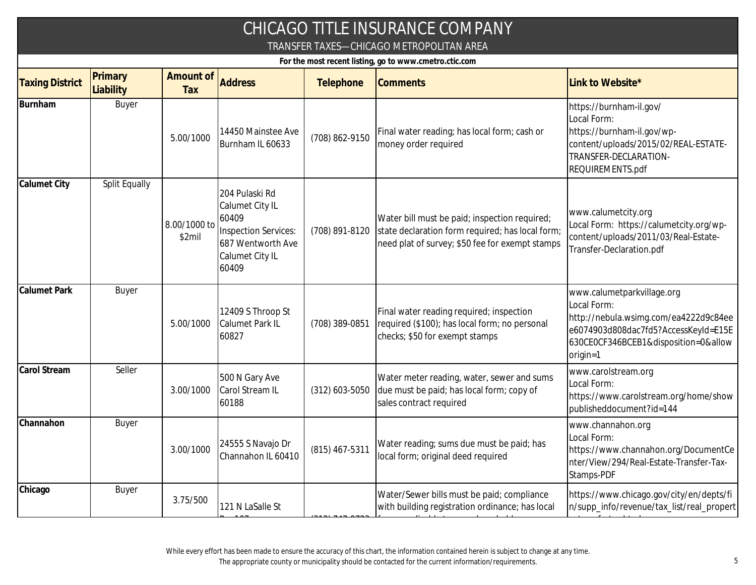| CHICAGO TITLE INSURANCE COMPANY<br>TRANSFER TAXES—CHICAGO METROPOLITAN AREA<br>For the most recent listing, go to www.cmetro.ctic.com |               |                        |                                                                                                                     |                  |                                                                                                                                                      |                                                                                                                                                                                |  |  |  |
|---------------------------------------------------------------------------------------------------------------------------------------|---------------|------------------------|---------------------------------------------------------------------------------------------------------------------|------------------|------------------------------------------------------------------------------------------------------------------------------------------------------|--------------------------------------------------------------------------------------------------------------------------------------------------------------------------------|--|--|--|
|                                                                                                                                       |               |                        |                                                                                                                     |                  |                                                                                                                                                      |                                                                                                                                                                                |  |  |  |
| Burnham                                                                                                                               | Buyer         | 5.00/1000              | 14450 Mainstee Ave<br>Burnham IL 60633                                                                              | (708) 862-9150   | Final water reading; has local form; cash or<br>money order required                                                                                 | https://burnham-il.gov/<br>Local Form:<br>https://burnham-il.gov/wp-<br>content/uploads/2015/02/REAL-ESTATE-<br>TRANSFER-DECLARATION-<br>REQUIREMENTS.pdf                      |  |  |  |
| <b>Calumet City</b>                                                                                                                   | Split Equally | 8.00/1000 to<br>\$2mil | 204 Pulaski Rd<br>Calumet City IL<br>60409<br>Inspection Services:<br>687 Wentworth Ave<br>Calumet City IL<br>60409 | (708) 891-8120   | Water bill must be paid; inspection required;<br>state declaration form required; has local form;<br>need plat of survey; \$50 fee for exempt stamps | www.calumetcity.org<br>Local Form: https://calumetcity.org/wp-<br>content/uploads/2011/03/Real-Estate-<br>Transfer-Declaration.pdf                                             |  |  |  |
| <b>Calumet Park</b>                                                                                                                   | Buyer         | 5.00/1000              | 12409 S Throop St<br><b>Calumet Park IL</b><br>60827                                                                | (708) 389-0851   | Final water reading required; inspection<br>required (\$100); has local form; no personal<br>checks; \$50 for exempt stamps                          | www.calumetparkvillage.org<br>Local Form:<br>http://nebula.wsimg.com/ea4222d9c84ee<br>e6074903d808dac7fd5?AccessKeyId=E15E<br>630CE0CF346BCEB1&disposition=0&allow<br>origin=1 |  |  |  |
| Carol Stream                                                                                                                          | Seller        | 3.00/1000              | 500 N Gary Ave<br>Carol Stream IL<br>60188                                                                          | $(312)$ 603-5050 | Water meter reading, water, sewer and sums<br>due must be paid; has local form; copy of<br>sales contract required                                   | www.carolstream.org<br>Local Form:<br>https://www.carolstream.org/home/show<br>publisheddocument?id=144                                                                        |  |  |  |
| Channahon                                                                                                                             | Buyer         | 3.00/1000              | 24555 S Navajo Dr<br>Channahon IL 60410                                                                             | $(815)$ 467-5311 | Water reading; sums due must be paid; has<br>local form; original deed required                                                                      | www.channahon.org<br>Local Form:<br>https://www.channahon.org/DocumentCe<br>nter/View/294/Real-Estate-Transfer-Tax-<br>Stamps-PDF                                              |  |  |  |
| Chicago                                                                                                                               | Buyer         | 3.75/500               | 121 N LaSalle St                                                                                                    |                  | Water/Sewer bills must be paid; compliance<br>with building registration ordinance; has local                                                        | https://www.chicago.gov/city/en/depts/fi<br>n/supp_info/revenue/tax_list/real_propert                                                                                          |  |  |  |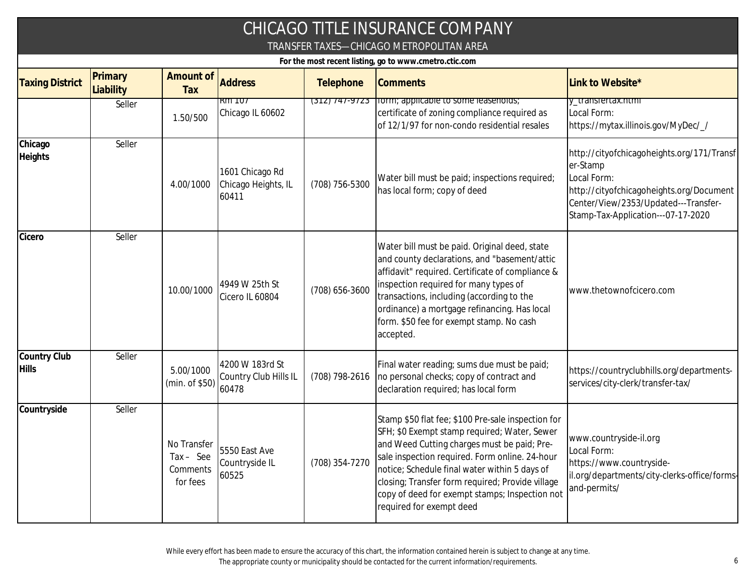| CHICAGO TITLE INSURANCE COMPANY<br>TRANSFER TAXES-CHICAGO METROPOLITAN AREA<br>For the most recent listing, go to www.cmetro.ctic.com |        |                                                    |                                                   |                |                                                                                                                                                                                                                                                                                                                                                                                        |                                                                                                                                                                                                 |  |  |  |
|---------------------------------------------------------------------------------------------------------------------------------------|--------|----------------------------------------------------|---------------------------------------------------|----------------|----------------------------------------------------------------------------------------------------------------------------------------------------------------------------------------------------------------------------------------------------------------------------------------------------------------------------------------------------------------------------------------|-------------------------------------------------------------------------------------------------------------------------------------------------------------------------------------------------|--|--|--|
|                                                                                                                                       |        |                                                    |                                                   |                |                                                                                                                                                                                                                                                                                                                                                                                        |                                                                                                                                                                                                 |  |  |  |
|                                                                                                                                       | Seller | 1.50/500                                           | $Rm$ TO $T$<br>Chicago IL 60602                   | (312) 747-9723 | rorm; applicable to some leasenoids;<br>certificate of zoning compliance required as<br>of 12/1/97 for non-condo residential resales                                                                                                                                                                                                                                                   | y_transfertax.ntmi<br>Local Form:<br>https://mytax.illinois.gov/MyDec/_/                                                                                                                        |  |  |  |
| Chicago<br>Heights                                                                                                                    | Seller | 4.00/1000                                          | 1601 Chicago Rd<br>Chicago Heights, IL<br>60411   | (708) 756-5300 | Water bill must be paid; inspections required;<br>has local form; copy of deed                                                                                                                                                                                                                                                                                                         | http://cityofchicagoheights.org/171/Transf<br>er-Stamp<br>Local Form:<br>http://cityofchicagoheights.org/Document<br>Center/View/2353/Updated---Transfer-<br>Stamp-Tax-Application---07-17-2020 |  |  |  |
| Cicero                                                                                                                                | Seller | 10.00/1000                                         | 4949 W 25th St<br>Cicero IL 60804                 | (708) 656-3600 | Water bill must be paid. Original deed, state<br>and county declarations, and "basement/attic<br>affidavit" required. Certificate of compliance &<br>inspection required for many types of<br>transactions, including (according to the<br>ordinance) a mortgage refinancing. Has local<br>form. \$50 fee for exempt stamp. No cash<br>accepted.                                       | www.thetownofcicero.com                                                                                                                                                                         |  |  |  |
| Country Club<br><b>Hills</b>                                                                                                          | Seller | 5.00/1000<br>(min. of \$50)                        | 4200 W 183rd St<br>Country Club Hills IL<br>60478 | (708) 798-2616 | Final water reading; sums due must be paid;<br>no personal checks; copy of contract and<br>declaration required; has local form                                                                                                                                                                                                                                                        | https://countryclubhills.org/departments-<br>services/city-clerk/transfer-tax/                                                                                                                  |  |  |  |
| Countryside                                                                                                                           | Seller | No Transfer<br>$Tax - See$<br>Comments<br>for fees | 5550 East Ave<br>Countryside IL<br>60525          | (708) 354-7270 | Stamp \$50 flat fee; \$100 Pre-sale inspection for<br>SFH; \$0 Exempt stamp required; Water, Sewer<br>and Weed Cutting charges must be paid; Pre-<br>sale inspection required. Form online. 24-hour<br>notice; Schedule final water within 5 days of<br>closing; Transfer form required; Provide village<br>copy of deed for exempt stamps; Inspection not<br>required for exempt deed | www.countryside-il.org<br>Local Form:<br>https://www.countryside-<br>il.org/departments/city-clerks-office/forms-<br>and-permits/                                                               |  |  |  |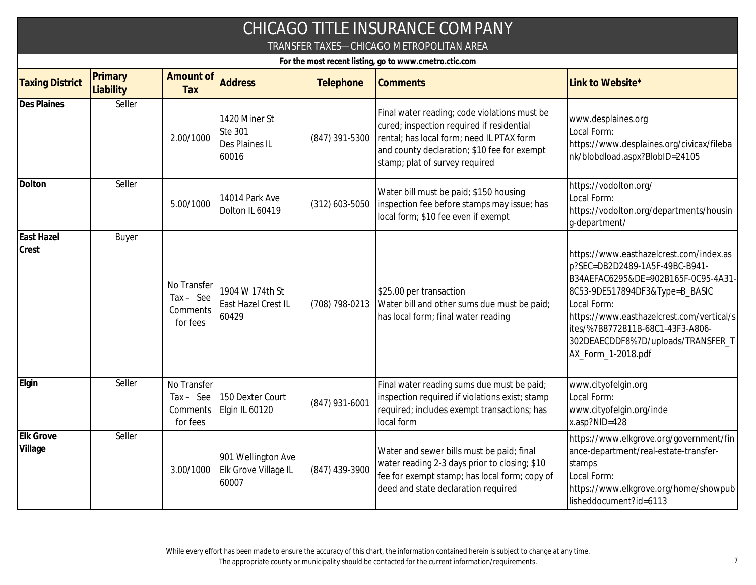|                                                                                                    |                      |                                                    |                                                     |                  | CHICAGO TITLE INSURANCE COMPANY                                                                                                                                                                                         |                                                                                                                                                                                                                                                                                                                |  |  |  |
|----------------------------------------------------------------------------------------------------|----------------------|----------------------------------------------------|-----------------------------------------------------|------------------|-------------------------------------------------------------------------------------------------------------------------------------------------------------------------------------------------------------------------|----------------------------------------------------------------------------------------------------------------------------------------------------------------------------------------------------------------------------------------------------------------------------------------------------------------|--|--|--|
| TRANSFER TAXES-CHICAGO METROPOLITAN AREA<br>For the most recent listing, go to www.cmetro.ctic.com |                      |                                                    |                                                     |                  |                                                                                                                                                                                                                         |                                                                                                                                                                                                                                                                                                                |  |  |  |
| <b>Taxing District</b>                                                                             | Primary<br>Liability | Amount of<br>Tax                                   | <b>Address</b>                                      | Telephone        | <b>Comments</b>                                                                                                                                                                                                         | Link to Website*                                                                                                                                                                                                                                                                                               |  |  |  |
| <b>Des Plaines</b>                                                                                 | Seller               | 2.00/1000                                          | 1420 Miner St<br>Ste 301<br>Des Plaines IL<br>60016 | (847) 391-5300   | Final water reading; code violations must be<br>cured; inspection required if residential<br>rental; has local form; need IL PTAX form<br>and county declaration; \$10 fee for exempt<br>stamp; plat of survey required | www.desplaines.org<br>Local Form:<br>https://www.desplaines.org/civicax/fileba<br>nk/blobdload.aspx?BlobID=24105                                                                                                                                                                                               |  |  |  |
| Dolton                                                                                             | Seller               | 5.00/1000                                          | 14014 Park Ave<br>Dolton IL 60419                   | $(312)$ 603-5050 | Water bill must be paid; \$150 housing<br>inspection fee before stamps may issue; has<br>local form; \$10 fee even if exempt                                                                                            | https://vodolton.org/<br>Local Form:<br>https://vodolton.org/departments/housin<br>g-department/                                                                                                                                                                                                               |  |  |  |
| <b>East Hazel</b><br>Crest                                                                         | <b>Buyer</b>         | No Transfer<br>$Tax - See$<br>Comments<br>for fees | 1904 W 174th St<br>East Hazel Crest IL<br>60429     | (708) 798-0213   | \$25.00 per transaction<br>Water bill and other sums due must be paid;<br>has local form; final water reading                                                                                                           | https://www.easthazelcrest.com/index.as<br>p?SEC=DB2D2489-1A5F-49BC-B941-<br>B34AEFAC6295&DE=902B165F-0C95-4A31-<br>8C53-9DE517894DF3&Type=B_BASIC<br>Local Form:<br>https://www.easthazelcrest.com/vertical/s<br>ites/%7B8772811B-68C1-43F3-A806-<br>302DEAECDDF8%7D/uploads/TRANSFER_T<br>AX_Form_1-2018.pdf |  |  |  |
| Elgin                                                                                              | Seller               | No Transfer<br>$Tax - See$<br>Comments<br>for fees | 150 Dexter Court<br>Elgin IL 60120                  | (847) 931-6001   | Final water reading sums due must be paid;<br>inspection required if violations exist; stamp<br>required; includes exempt transactions; has<br>local form                                                               | www.cityofelgin.org<br>Local Form:<br>www.cityofelgin.org/inde<br>x.asp?NID=428                                                                                                                                                                                                                                |  |  |  |
| Elk Grove<br>Village                                                                               | Seller               | 3.00/1000                                          | 901 Wellington Ave<br>Elk Grove Village IL<br>60007 | (847) 439-3900   | Water and sewer bills must be paid; final<br>water reading 2-3 days prior to closing; \$10<br>fee for exempt stamp; has local form; copy of<br>deed and state declaration required                                      | https://www.elkgrove.org/government/fin<br>ance-department/real-estate-transfer-<br>stamps<br>Local Form:<br>https://www.elkgrove.org/home/showpub<br>lisheddocument?id=6113                                                                                                                                   |  |  |  |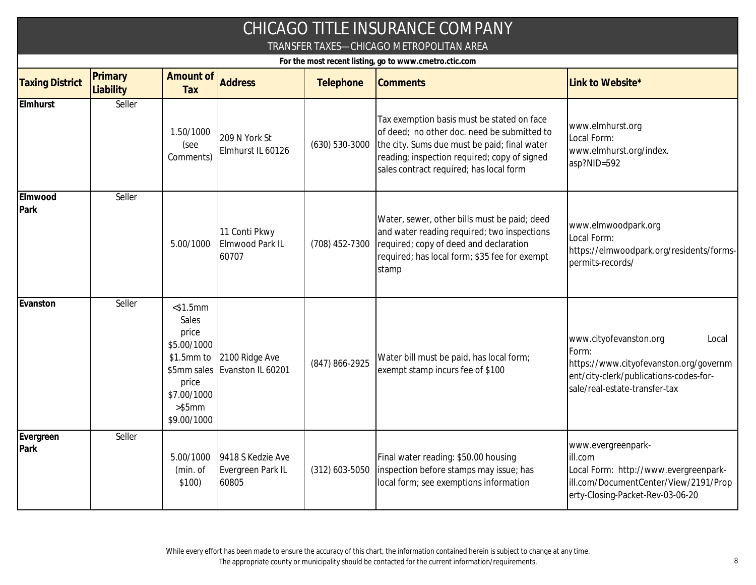|                        |                                                        |                                                                                                                             |                                                 |                | CHICAGO TITLE INSURANCE COMPANY<br>TRANSFER TAXES-CHICAGO METROPOLITAN AREA                                                                                                                                                          |                                                                                                                                                               |  |  |  |  |
|------------------------|--------------------------------------------------------|-----------------------------------------------------------------------------------------------------------------------------|-------------------------------------------------|----------------|--------------------------------------------------------------------------------------------------------------------------------------------------------------------------------------------------------------------------------------|---------------------------------------------------------------------------------------------------------------------------------------------------------------|--|--|--|--|
|                        | For the most recent listing, go to www.cmetro.ctic.com |                                                                                                                             |                                                 |                |                                                                                                                                                                                                                                      |                                                                                                                                                               |  |  |  |  |
| <b>Taxing District</b> | Primary<br>Liability                                   | Amount of<br>Tax                                                                                                            | <b>Address</b>                                  | Telephone      | <b>Comments</b>                                                                                                                                                                                                                      | Link to Website*                                                                                                                                              |  |  |  |  |
| Elmhurst               | Seller                                                 | 1.50/1000<br>(see<br>Comments)                                                                                              | 209 N York St<br>Elmhurst IL 60126              | (630) 530-3000 | Tax exemption basis must be stated on face<br>of deed; no other doc. need be submitted to<br>the city. Sums due must be paid; final water<br>reading; inspection required; copy of signed<br>sales contract required; has local form | www.elmhurst.org<br>Local Form:<br>www.elmhurst.org/index.<br>asp?NID=592                                                                                     |  |  |  |  |
| Elmwood<br>Park        | Seller                                                 | 5.00/1000                                                                                                                   | 11 Conti Pkwy<br>Elmwood Park IL<br>60707       | (708) 452-7300 | Water, sewer, other bills must be paid; deed<br>and water reading required; two inspections<br>required; copy of deed and declaration<br>required; has local form; \$35 fee for exempt<br>stamp                                      | www.elmwoodpark.org<br>Local Form:<br>https://elmwoodpark.org/residents/forms-<br>permits-records/                                                            |  |  |  |  |
| Evanston               | Seller                                                 | $<$ \$1.5mm<br>Sales<br>price<br>\$5.00/1000<br>\$1.5mm to<br>\$5mm sales<br>price<br>\$7.00/1000<br>> \$5mm<br>\$9.00/1000 | 2100 Ridge Ave<br>Evanston IL 60201             | (847) 866-2925 | Water bill must be paid, has local form;<br>exempt stamp incurs fee of \$100                                                                                                                                                         | www.cityofevanston.org<br>Local<br>Form:<br>https://www.cityofevanston.org/governm<br>ent/city-clerk/publications-codes-for-<br>sale/real-estate-transfer-tax |  |  |  |  |
| Evergreen<br>Park      | Seller                                                 | 5.00/1000<br>(min. of<br>\$100)                                                                                             | 9418 S Kedzie Ave<br>Evergreen Park IL<br>60805 | (312) 603-5050 | Final water reading: \$50.00 housing<br>inspection before stamps may issue; has<br>local form; see exemptions information                                                                                                            | www.evergreenpark-<br>ill.com<br>Local Form: http://www.evergreenpark-<br>ill.com/DocumentCenter/View/2191/Prop<br>erty-Closing-Packet-Rev-03-06-20           |  |  |  |  |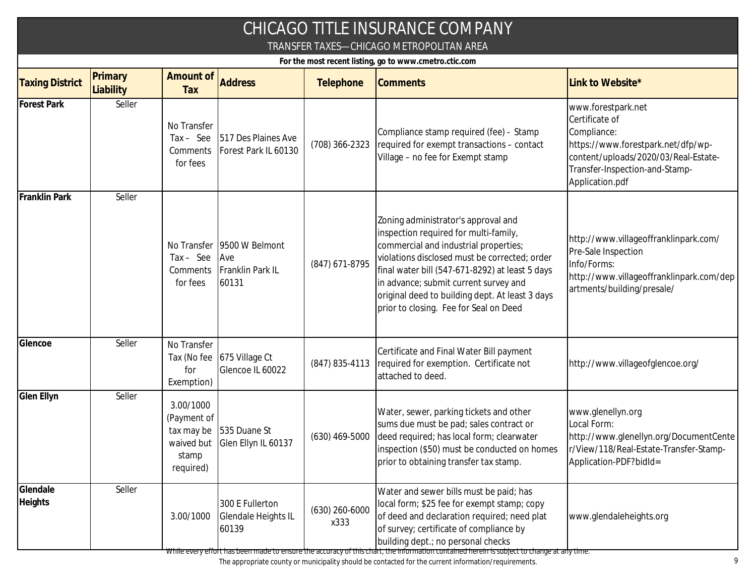|                        |                                          |                                                              |                                                    |                          | CHICAGO TITLE INSURANCE COMPANY                                                                                                                                                                                                                                                                                                                                 |                                                                                                                                                                                        |  |  |  |  |
|------------------------|------------------------------------------|--------------------------------------------------------------|----------------------------------------------------|--------------------------|-----------------------------------------------------------------------------------------------------------------------------------------------------------------------------------------------------------------------------------------------------------------------------------------------------------------------------------------------------------------|----------------------------------------------------------------------------------------------------------------------------------------------------------------------------------------|--|--|--|--|
|                        | TRANSFER TAXES—CHICAGO METROPOLITAN AREA |                                                              |                                                    |                          |                                                                                                                                                                                                                                                                                                                                                                 |                                                                                                                                                                                        |  |  |  |  |
|                        |                                          |                                                              |                                                    |                          | For the most recent listing, go to www.cmetro.ctic.com                                                                                                                                                                                                                                                                                                          |                                                                                                                                                                                        |  |  |  |  |
| <b>Taxing District</b> | Primary<br>Liability                     | <b>Amount of</b><br>Tax                                      | <b>Address</b>                                     | Telephone                | <b>Comments</b>                                                                                                                                                                                                                                                                                                                                                 | Link to Website*                                                                                                                                                                       |  |  |  |  |
| <b>Forest Park</b>     | Seller                                   | No Transfer<br>$Tax - See$<br>Comments<br>for fees           | 517 Des Plaines Ave<br>Forest Park IL 60130        | (708) 366-2323           | Compliance stamp required (fee) - Stamp<br>required for exempt transactions - contact<br>Village - no fee for Exempt stamp                                                                                                                                                                                                                                      | www.forestpark.net<br>Certificate of<br>Compliance:<br>https://www.forestpark.net/dfp/wp-<br>content/uploads/2020/03/Real-Estate-<br>Transfer-Inspection-and-Stamp-<br>Application.pdf |  |  |  |  |
| Franklin Park          | Seller                                   | No Transfer<br>$Tax - See$<br>Comments<br>for fees           | 9500 W Belmont<br>Ave<br>Franklin Park IL<br>60131 | (847) 671-8795           | Zoning administrator's approval and<br>inspection required for multi-family,<br>commercial and industrial properties;<br>violations disclosed must be corrected; order<br>final water bill (547-671-8292) at least 5 days<br>in advance; submit current survey and<br>original deed to building dept. At least 3 days<br>prior to closing. Fee for Seal on Deed | http://www.villageoffranklinpark.com/<br>Pre-Sale Inspection<br>Info/Forms:<br>http://www.villageoffranklinpark.com/dep<br>artments/building/presale/                                  |  |  |  |  |
| Glencoe                | Seller                                   | No Transfer<br>Tax (No fee<br>for<br>Exemption)              | 675 Village Ct<br>Glencoe IL 60022                 | $(847) 835 - 4113$       | Certificate and Final Water Bill payment<br>required for exemption. Certificate not<br>attached to deed.                                                                                                                                                                                                                                                        | http://www.villageofglencoe.org/                                                                                                                                                       |  |  |  |  |
| Glen Ellyn             | Seller                                   | 3.00/1000<br>(Payment of<br>tax may be<br>stamp<br>required) | 535 Duane St<br>waived but Glen Ellyn IL 60137     | $(630)$ 469-5000         | Water, sewer, parking tickets and other<br>sums due must be pad; sales contract or<br>deed required; has local form; clearwater<br>inspection (\$50) must be conducted on homes<br>prior to obtaining transfer tax stamp.                                                                                                                                       | www.glenellyn.org<br>Local Form:<br>http://www.glenellyn.org/DocumentCente<br>r/View/118/Real-Estate-Transfer-Stamp-<br>Application-PDF?bidld=                                         |  |  |  |  |
| Glendale<br>Heights    | Seller                                   | 3.00/1000                                                    | 300 E Fullerton<br>Glendale Heights IL<br>60139    | $(630)$ 260-6000<br>x333 | Water and sewer bills must be paid; has<br>local form; \$25 fee for exempt stamp; copy<br>of deed and declaration required; need plat<br>of survey; certificate of compliance by<br>building dept.; no personal checks                                                                                                                                          | www.glendaleheights.org                                                                                                                                                                |  |  |  |  |

While every effort has been made to ensure the accuracy of this chart, the information contained herein is subject to change at any time.

The appropriate county or municipality should be contacted for the current information/requirements. 9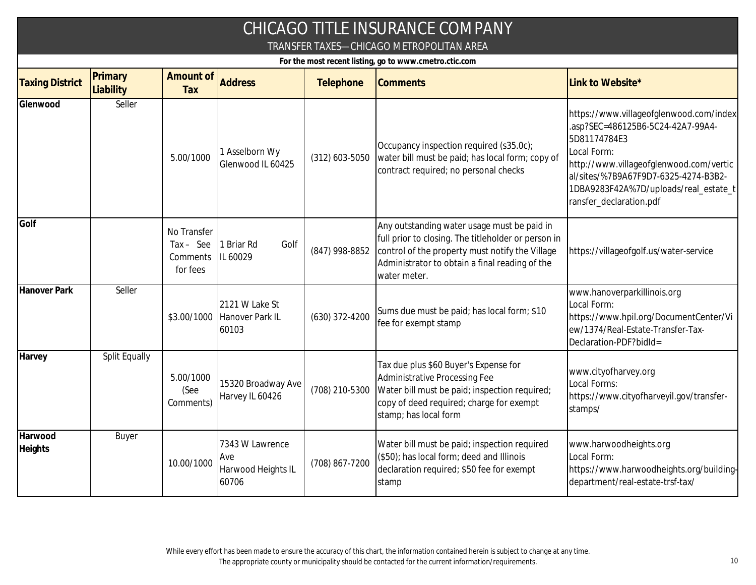| CHICAGO TITLE INSURANCE COMPANY<br>TRANSFER TAXES-CHICAGO METROPOLITAN AREA |                      |                                                    |                                                        |                  |                                                                                                                                                                                                                         |                                                                                                                                                                                                                                                                    |  |  |  |
|-----------------------------------------------------------------------------|----------------------|----------------------------------------------------|--------------------------------------------------------|------------------|-------------------------------------------------------------------------------------------------------------------------------------------------------------------------------------------------------------------------|--------------------------------------------------------------------------------------------------------------------------------------------------------------------------------------------------------------------------------------------------------------------|--|--|--|
|                                                                             |                      |                                                    |                                                        |                  | For the most recent listing, go to www.cmetro.ctic.com                                                                                                                                                                  |                                                                                                                                                                                                                                                                    |  |  |  |
| <b>Taxing District</b>                                                      | Primary<br>Liability | Amount of<br>Tax                                   | <b>Address</b>                                         | Telephone        | <b>Comments</b>                                                                                                                                                                                                         | Link to Website*                                                                                                                                                                                                                                                   |  |  |  |
| Glenwood                                                                    | Seller               | 5.00/1000                                          | 1 Asselborn Wy<br>Glenwood IL 60425                    | $(312)$ 603-5050 | Occupancy inspection required (s35.0c);<br>water bill must be paid; has local form; copy of<br>contract required; no personal checks                                                                                    | https://www.villageofglenwood.com/index<br>.asp?SEC=486125B6-5C24-42A7-99A4-<br>5D81174784E3<br>Local Form:<br>http://www.villageofglenwood.com/vertic<br>al/sites/%7B9A67F9D7-6325-4274-B3B2-<br>1DBA9283F42A%7D/uploads/real_estate_t<br>ransfer_declaration.pdf |  |  |  |
| Golf                                                                        |                      | No Transfer<br>$Tax - See$<br>Comments<br>for fees | Golf<br><b>Briar Rd</b><br>IL 60029                    | (847) 998-8852   | Any outstanding water usage must be paid in<br>full prior to closing. The titleholder or person in<br>control of the property must notify the Village<br>Administrator to obtain a final reading of the<br>water meter. | https://villageofgolf.us/water-service                                                                                                                                                                                                                             |  |  |  |
| Hanover Park                                                                | Seller               |                                                    | 2121 W Lake St<br>\$3.00/1000 Hanover Park IL<br>60103 | $(630)$ 372-4200 | Sums due must be paid; has local form; \$10<br>fee for exempt stamp                                                                                                                                                     | www.hanoverparkillinois.org<br>Local Form:<br>https://www.hpil.org/DocumentCenter/Vi<br>ew/1374/Real-Estate-Transfer-Tax-<br>Declaration-PDF?bidld=                                                                                                                |  |  |  |
| Harvey                                                                      | Split Equally        | 5.00/1000<br>(See<br>Comments)                     | 15320 Broadway Ave<br>Harvey IL 60426                  | (708) 210-5300   | Tax due plus \$60 Buyer's Expense for<br><b>Administrative Processing Fee</b><br>Water bill must be paid; inspection required;<br>copy of deed required; charge for exempt<br>stamp; has local form                     | www.cityofharvey.org<br>Local Forms:<br>https://www.cityofharveyil.gov/transfer-<br>stamps/                                                                                                                                                                        |  |  |  |
| Harwood<br><b>Heights</b>                                                   | Buyer                | 10.00/1000                                         | 7343 W Lawrence<br>Ave<br>Harwood Heights IL<br>60706  | (708) 867-7200   | Water bill must be paid; inspection required<br>(\$50); has local form; deed and Illinois<br>declaration required; \$50 fee for exempt<br>stamp                                                                         | www.harwoodheights.org<br>Local Form:<br>https://www.harwoodheights.org/building-<br>department/real-estate-trsf-tax/                                                                                                                                              |  |  |  |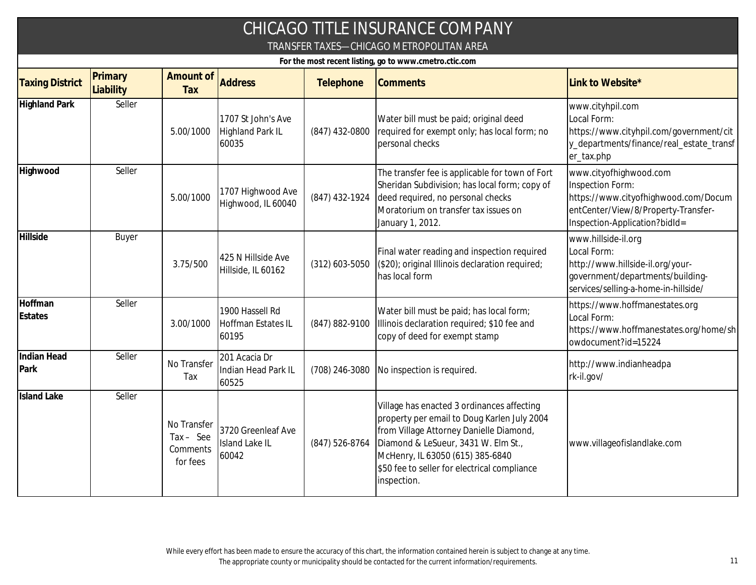|                            |                                                                                                    |                                                  |                                                        |                  | <b>CHICAGO TITLE INSURANCE COMPANY</b>                                                                                                                                                                                                                                         |                                                                                                                                                            |  |  |  |  |
|----------------------------|----------------------------------------------------------------------------------------------------|--------------------------------------------------|--------------------------------------------------------|------------------|--------------------------------------------------------------------------------------------------------------------------------------------------------------------------------------------------------------------------------------------------------------------------------|------------------------------------------------------------------------------------------------------------------------------------------------------------|--|--|--|--|
|                            | TRANSFER TAXES-CHICAGO METROPOLITAN AREA<br>For the most recent listing, go to www.cmetro.ctic.com |                                                  |                                                        |                  |                                                                                                                                                                                                                                                                                |                                                                                                                                                            |  |  |  |  |
| <b>Taxing District</b>     | Primary<br>Liability                                                                               | Amount of<br>Tax                                 | <b>Address</b>                                         | Telephone        | <b>Comments</b>                                                                                                                                                                                                                                                                | Link to Website*                                                                                                                                           |  |  |  |  |
| <b>Highland Park</b>       | Seller                                                                                             | 5.00/1000                                        | 1707 St John's Ave<br><b>Highland Park IL</b><br>60035 | (847) 432-0800   | Water bill must be paid; original deed<br>required for exempt only; has local form; no<br>personal checks                                                                                                                                                                      | www.cityhpil.com<br>Local Form:<br>https://www.cityhpil.com/government/cit<br>y_departments/finance/real_estate_transf<br>er_tax.php                       |  |  |  |  |
| Highwood                   | Seller                                                                                             | 5.00/1000                                        | 1707 Highwood Ave<br>Highwood, IL 60040                | (847) 432-1924   | The transfer fee is applicable for town of Fort<br>Sheridan Subdivision; has local form; copy of<br>deed required, no personal checks<br>Moratorium on transfer tax issues on<br>January 1, 2012.                                                                              | www.cityofhighwood.com<br>Inspection Form:<br>https://www.cityofhighwood.com/Docum<br>entCenter/View/8/Property-Transfer-<br>Inspection-Application?bidld= |  |  |  |  |
| Hillside                   | Buyer                                                                                              | 3.75/500                                         | 425 N Hillside Ave<br>Hillside, IL 60162               | $(312)$ 603-5050 | Final water reading and inspection required<br>(\$20); original Illinois declaration required;<br>has local form                                                                                                                                                               | www.hillside-il.org<br>Local Form:<br>http://www.hillside-il.org/your-<br>government/departments/building-<br>services/selling-a-home-in-hillside/         |  |  |  |  |
| Hoffman<br>Estates         | Seller                                                                                             | 3.00/1000                                        | 1900 Hassell Rd<br>Hoffman Estates IL<br>60195         | (847) 882-9100   | Water bill must be paid; has local form;<br>Illinois declaration required; \$10 fee and<br>copy of deed for exempt stamp                                                                                                                                                       | https://www.hoffmanestates.org<br>Local Form:<br>https://www.hoffmanestates.org/home/sh<br>owdocument?id=15224                                             |  |  |  |  |
| <b>Indian Head</b><br>Park | Seller                                                                                             | No Transfer<br>Tax                               | 201 Acacia Dr<br>Indian Head Park IL<br>60525          | (708) 246-3080   | No inspection is required.                                                                                                                                                                                                                                                     | http://www.indianheadpa<br>rk-il.gov/                                                                                                                      |  |  |  |  |
| <b>Island Lake</b>         | Seller                                                                                             | No Transfer<br>Tax - See<br>Comments<br>for fees | 3720 Greenleaf Ave<br>Island Lake IL<br>60042          | (847) 526-8764   | Village has enacted 3 ordinances affecting<br>property per email to Doug Karlen July 2004<br>from Village Attorney Danielle Diamond,<br>Diamond & LeSueur, 3431 W. Elm St.,<br>McHenry, IL 63050 (615) 385-6840<br>\$50 fee to seller for electrical compliance<br>inspection. | www.villageofislandlake.com                                                                                                                                |  |  |  |  |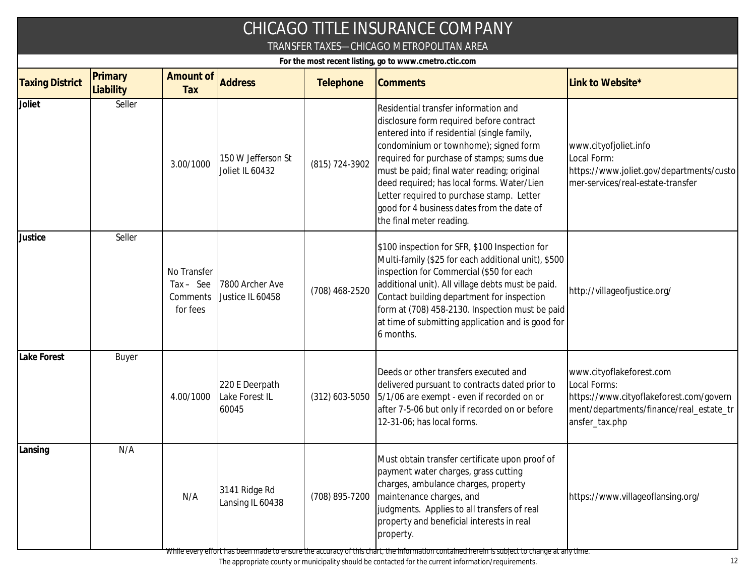|                                                                                                    | CHICAGO TITLE INSURANCE COMPANY |                                                    |                                           |                  |                                                                                                                                                                                                                                                                                                                                                                                                                                           |                                                                                                                                                  |  |  |  |  |
|----------------------------------------------------------------------------------------------------|---------------------------------|----------------------------------------------------|-------------------------------------------|------------------|-------------------------------------------------------------------------------------------------------------------------------------------------------------------------------------------------------------------------------------------------------------------------------------------------------------------------------------------------------------------------------------------------------------------------------------------|--------------------------------------------------------------------------------------------------------------------------------------------------|--|--|--|--|
| TRANSFER TAXES-CHICAGO METROPOLITAN AREA<br>For the most recent listing, go to www.cmetro.ctic.com |                                 |                                                    |                                           |                  |                                                                                                                                                                                                                                                                                                                                                                                                                                           |                                                                                                                                                  |  |  |  |  |
| <b>Taxing District</b>                                                                             | Primary<br>Liability            | Amount of<br>Tax                                   | <b>Address</b>                            | Telephone        | <b>Comments</b>                                                                                                                                                                                                                                                                                                                                                                                                                           | Link to Website*                                                                                                                                 |  |  |  |  |
| Joliet                                                                                             | Seller                          | 3.00/1000                                          | 150 W Jefferson St<br>Joliet IL 60432     | (815) 724-3902   | Residential transfer information and<br>disclosure form required before contract<br>entered into if residential (single family,<br>condominium or townhome); signed form<br>required for purchase of stamps; sums due<br>must be paid; final water reading; original<br>deed required; has local forms. Water/Lien<br>Letter required to purchase stamp. Letter<br>good for 4 business dates from the date of<br>the final meter reading. | www.cityofjoliet.info<br>Local Form:<br>https://www.joliet.gov/departments/custo<br>mer-services/real-estate-transfer                            |  |  |  |  |
| Justice                                                                                            | Seller                          | No Transfer<br>$Tax - See$<br>Comments<br>for fees | 7800 Archer Ave<br>Justice IL 60458       | (708) 468-2520   | \$100 inspection for SFR, \$100 Inspection for<br>Multi-family (\$25 for each additional unit), \$500<br>inspection for Commercial (\$50 for each<br>additional unit). All village debts must be paid.<br>Contact building department for inspection<br>form at (708) 458-2130. Inspection must be paid<br>at time of submitting application and is good for<br>6 months.                                                                 | http://villageofjustice.org/                                                                                                                     |  |  |  |  |
| Lake Forest                                                                                        | Buyer                           | 4.00/1000                                          | 220 E Deerpath<br>Lake Forest IL<br>60045 | $(312)$ 603-5050 | Deeds or other transfers executed and<br>delivered pursuant to contracts dated prior to<br>5/1/06 are exempt - even if recorded on or<br>after 7-5-06 but only if recorded on or before<br>12-31-06; has local forms.                                                                                                                                                                                                                     | www.cityoflakeforest.com<br>Local Forms:<br>https://www.cityoflakeforest.com/govern<br>ment/departments/finance/real_estate_tr<br>ansfer_tax.php |  |  |  |  |
| Lansing                                                                                            | N/A                             | N/A                                                | 3141 Ridge Rd<br>Lansing IL 60438         | (708) 895-7200   | Must obtain transfer certificate upon proof of<br>payment water charges, grass cutting<br>charges, ambulance charges, property<br>maintenance charges, and<br>judgments. Applies to all transfers of real<br>property and beneficial interests in real<br>property.                                                                                                                                                                       | https://www.villageoflansing.org/                                                                                                                |  |  |  |  |

While every effort has been made to ensure the accuracy of this chart, the information contained herein is subject to change at any time.

The appropriate county or municipality should be contacted for the current information/requirements. 12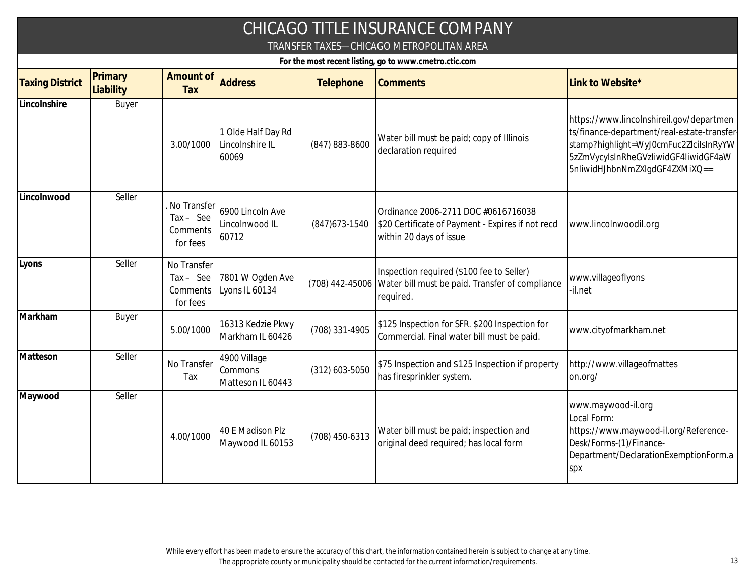|                                                                                                    |                      |                                                    |                                                |                  | CHICAGO TITLE INSURANCE COMPANY                                                                                           |                                                                                                                                                                                                            |  |  |  |
|----------------------------------------------------------------------------------------------------|----------------------|----------------------------------------------------|------------------------------------------------|------------------|---------------------------------------------------------------------------------------------------------------------------|------------------------------------------------------------------------------------------------------------------------------------------------------------------------------------------------------------|--|--|--|
| TRANSFER TAXES-CHICAGO METROPOLITAN AREA<br>For the most recent listing, go to www.cmetro.ctic.com |                      |                                                    |                                                |                  |                                                                                                                           |                                                                                                                                                                                                            |  |  |  |
| <b>Taxing District</b>                                                                             | Primary<br>Liability | Amount of<br>Tax                                   | <b>Address</b>                                 | Telephone        | <b>Comments</b>                                                                                                           | Link to Website*                                                                                                                                                                                           |  |  |  |
| Lincolnshire                                                                                       | Buyer                | 3.00/1000                                          | 1 Olde Half Day Rd<br>Lincolnshire IL<br>60069 | (847) 883-8600   | Water bill must be paid; copy of Illinois<br>declaration required                                                         | https://www.lincolnshireil.gov/departmen<br>ts/finance-department/real-estate-transfer<br>stamp?highlight=WyJ0cmFuc2ZlciIsInRyYW<br>5zZmVycyIsInRheGVzIiwidGF4IiwidGF4aW<br>5nliwidHJhbnNmZXIgdGF4ZXMiXQ== |  |  |  |
| Lincolnwood                                                                                        | Seller               | No Transfer<br>$Tax - See$<br>Comments<br>for fees | 6900 Lincoln Ave<br>Lincolnwood IL<br>60712    | $(847)673-1540$  | Ordinance 2006-2711 DOC #0616716038<br>\$20 Certificate of Payment - Expires if not recd<br>within 20 days of issue       | www.lincolnwoodil.org                                                                                                                                                                                      |  |  |  |
| Lyons                                                                                              | Seller               | No Transfer<br>$Tax - See$<br>Comments<br>for fees | 7801 W Ogden Ave<br>Lyons IL 60134             |                  | Inspection required (\$100 fee to Seller)<br>(708) 442-45006 Water bill must be paid. Transfer of compliance<br>required. | www.villageoflyons<br>-il.net                                                                                                                                                                              |  |  |  |
| Markham                                                                                            | Buyer                | 5.00/1000                                          | 16313 Kedzie Pkwy<br>Markham IL 60426          | (708) 331-4905   | \$125 Inspection for SFR. \$200 Inspection for<br>Commercial. Final water bill must be paid.                              | www.cityofmarkham.net                                                                                                                                                                                      |  |  |  |
| Matteson                                                                                           | Seller               | No Transfer<br>Tax                                 | 4900 Village<br>Commons<br>Matteson IL 60443   | $(312)$ 603-5050 | \$75 Inspection and \$125 Inspection if property<br>has firesprinkler system.                                             | http://www.villageofmattes<br>on.org/                                                                                                                                                                      |  |  |  |
| Maywood                                                                                            | Seller               | 4.00/1000                                          | 40 E Madison Plz<br>Maywood IL 60153           | (708) 450-6313   | Water bill must be paid; inspection and<br>original deed required; has local form                                         | www.maywood-il.org<br>Local Form:<br>https://www.maywood-il.org/Reference-<br>Desk/Forms-(1)/Finance-<br>Department/DeclarationExemptionForm.a<br>spx                                                      |  |  |  |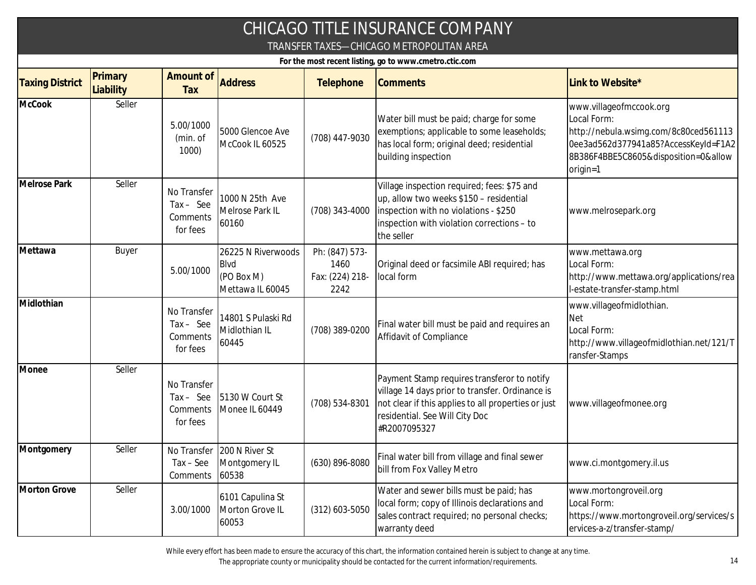| CHICAGO TITLE INSURANCE COMPANY                        |                                          |                                                    |                                                                     |                                                   |                                                                                                                                                                                                         |                                                                                                                                                                             |  |  |  |  |
|--------------------------------------------------------|------------------------------------------|----------------------------------------------------|---------------------------------------------------------------------|---------------------------------------------------|---------------------------------------------------------------------------------------------------------------------------------------------------------------------------------------------------------|-----------------------------------------------------------------------------------------------------------------------------------------------------------------------------|--|--|--|--|
|                                                        | TRANSFER TAXES-CHICAGO METROPOLITAN AREA |                                                    |                                                                     |                                                   |                                                                                                                                                                                                         |                                                                                                                                                                             |  |  |  |  |
| For the most recent listing, go to www.cmetro.ctic.com |                                          |                                                    |                                                                     |                                                   |                                                                                                                                                                                                         |                                                                                                                                                                             |  |  |  |  |
| <b>Taxing District</b>                                 | Primary<br>Liability                     | Amount of<br>Tax                                   | <b>Address</b>                                                      | Telephone                                         | <b>Comments</b>                                                                                                                                                                                         | Link to Website*                                                                                                                                                            |  |  |  |  |
| <b>McCook</b>                                          | Seller                                   | 5.00/1000<br>(min. of<br>1000                      | 5000 Glencoe Ave<br>McCook IL 60525                                 | (708) 447-9030                                    | Water bill must be paid; charge for some<br>exemptions; applicable to some leaseholds;<br>has local form; original deed; residential<br>building inspection                                             | www.villageofmccook.org<br>Local Form:<br>http://nebula.wsimg.com/8c80ced561113<br>0ee3ad562d377941a85?AccessKeyId=F1A2<br>8B386F4BBE5C8605&disposition=0&allow<br>origin=1 |  |  |  |  |
| <b>Melrose Park</b>                                    | Seller                                   | No Transfer<br>$Tax - See$<br>Comments<br>for fees | 1000 N 25th Ave<br>Melrose Park IL<br>60160                         | (708) 343-4000                                    | Village inspection required; fees: \$75 and<br>up, allow two weeks \$150 - residential<br>inspection with no violations - \$250<br>inspection with violation corrections - to<br>the seller             | www.melrosepark.org                                                                                                                                                         |  |  |  |  |
| Mettawa                                                | Buyer                                    | 5.00/1000                                          | 26225 N Riverwoods<br><b>Blvd</b><br>(PO Box M)<br>Mettawa IL 60045 | Ph: (847) 573-<br>1460<br>Fax: (224) 218-<br>2242 | Original deed or facsimile ABI required; has<br>local form                                                                                                                                              | www.mettawa.org<br>Local Form:<br>http://www.mettawa.org/applications/rea<br>I-estate-transfer-stamp.html                                                                   |  |  |  |  |
| Midlothian                                             |                                          | No Transfer<br>$Tax - See$<br>Comments<br>for fees | 14801 S Pulaski Rd<br>Midlothian IL<br>60445                        | (708) 389-0200                                    | Final water bill must be paid and requires an<br>Affidavit of Compliance                                                                                                                                | www.villageofmidlothian.<br><b>Net</b><br>Local Form:<br>http://www.villageofmidlothian.net/121/T<br>ransfer-Stamps                                                         |  |  |  |  |
| Monee                                                  | Seller                                   | No Transfer<br>$Tax - See$<br>Comments<br>for fees | 5130 W Court St<br>Monee IL 60449                                   | (708) 534-8301                                    | Payment Stamp requires transferor to notify<br>village 14 days prior to transfer. Ordinance is<br>not clear if this applies to all properties or just<br>residential. See Will City Doc<br>#R2007095327 | www.villageofmonee.org                                                                                                                                                      |  |  |  |  |
| Montgomery                                             | Seller                                   | $Tax - See$<br>Comments                            | No Transfer   200 N River St<br>Montgomery IL<br>60538              | (630) 896-8080                                    | Final water bill from village and final sewer<br>bill from Fox Valley Metro                                                                                                                             | www.ci.montgomery.il.us                                                                                                                                                     |  |  |  |  |
| Morton Grove                                           | Seller                                   | 3.00/1000                                          | 6101 Capulina St<br>Morton Grove IL<br>60053                        | (312) 603-5050                                    | Water and sewer bills must be paid; has<br>local form; copy of Illinois declarations and<br>sales contract required; no personal checks;<br>warranty deed                                               | www.mortongroveil.org<br>Local Form:<br>https://www.mortongroveil.org/services/s<br>ervices-a-z/transfer-stamp/                                                             |  |  |  |  |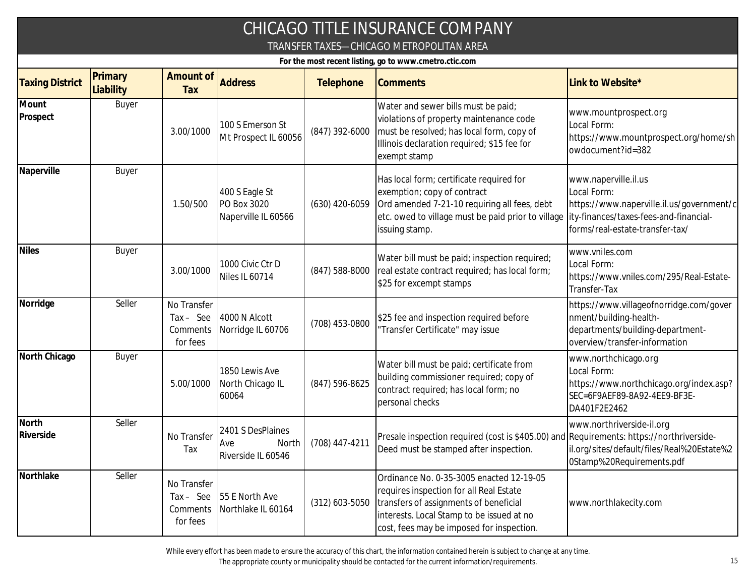|                                                        |                      |                                                    |                                                      |                      | CHICAGO TITLE INSURANCE COMPANY                                                                                                                                                                                                         |                                                                                                                                        |  |  |
|--------------------------------------------------------|----------------------|----------------------------------------------------|------------------------------------------------------|----------------------|-----------------------------------------------------------------------------------------------------------------------------------------------------------------------------------------------------------------------------------------|----------------------------------------------------------------------------------------------------------------------------------------|--|--|
|                                                        |                      |                                                    |                                                      |                      | TRANSFER TAXES-CHICAGO METROPOLITAN AREA                                                                                                                                                                                                |                                                                                                                                        |  |  |
| For the most recent listing, go to www.cmetro.ctic.com |                      |                                                    |                                                      |                      |                                                                                                                                                                                                                                         |                                                                                                                                        |  |  |
| <b>Taxing District</b>                                 | Primary<br>Liability | Amount of<br>Tax                                   | <b>Address</b>                                       | Telephone            | <b>Comments</b>                                                                                                                                                                                                                         | Link to Website*                                                                                                                       |  |  |
| Mount<br>Prospect                                      | Buyer                | 3.00/1000                                          | 100 S Emerson St<br>Mt Prospect IL 60056             | (847) 392-6000       | Water and sewer bills must be paid;<br>violations of property maintenance code<br>must be resolved; has local form, copy of<br>Illinois declaration required; \$15 fee for<br>exempt stamp                                              | www.mountprospect.org<br>Local Form:<br>https://www.mountprospect.org/home/sh<br>owdocument?id=382                                     |  |  |
| Naperville                                             | Buyer                | 1.50/500                                           | 400 S Eagle St<br>PO Box 3020<br>Naperville IL 60566 | $(630)$ 420-6059     | Has local form; certificate required for<br>exemption; copy of contract<br>Ord amended 7-21-10 requiring all fees, debt<br>etc. owed to village must be paid prior to village lity-finances/taxes-fees-and-financial-<br>issuing stamp. | www.naperville.il.us<br>Local Form:<br>https://www.naperville.il.us/government/c<br>forms/real-estate-transfer-tax/                    |  |  |
| <b>Niles</b>                                           | Buyer                | 3.00/1000                                          | 1000 Civic Ctr D<br>Niles IL 60714                   | $(847)$ 588-8000     | Water bill must be paid; inspection required;<br>real estate contract required; has local form;<br>\$25 for excempt stamps                                                                                                              | www.vniles.com<br>Local Form:<br>https://www.vniles.com/295/Real-Estate-<br>Transfer-Tax                                               |  |  |
| Norridge                                               | Seller               | No Transfer<br>$Tax - See$<br>Comments<br>for fees | 4000 N Alcott<br>Norridge IL 60706                   | (708) 453-0800       | \$25 fee and inspection required before<br>Transfer Certificate" may issue                                                                                                                                                              | https://www.villageofnorridge.com/gover<br>nment/building-health-<br>departments/building-department-<br>overview/transfer-information |  |  |
| North Chicago                                          | Buyer                | 5.00/1000                                          | 1850 Lewis Ave<br>North Chicago IL<br>60064          | (847) 596-8625       | Water bill must be paid; certificate from<br>building commissioner required; copy of<br>contract required; has local form; no<br>personal checks                                                                                        | www.northchicago.org<br>Local Form:<br>https://www.northchicago.org/index.asp?<br>SEC=6F9AEF89-8A92-4EE9-BF3E-<br>DA401F2E2462         |  |  |
| North<br>Riverside                                     | Seller               | No Transfer<br>Tax                                 | 2401 S DesPlaines<br>Ave<br>Riverside IL 60546       | North (708) 447-4211 | Presale inspection required (cost is \$405.00) and Requirements: https://northriverside-<br>Deed must be stamped after inspection.                                                                                                      | www.northriverside-il.org<br>il.org/sites/default/files/Real%20Estate%2<br>0Stamp%20Requirements.pdf                                   |  |  |
| Northlake                                              | Seller               | No Transfer<br>$Tax - See$<br>Comments<br>for fees | 55 E North Ave<br>Northlake IL 60164                 | $(312)$ 603-5050     | Ordinance No. 0-35-3005 enacted 12-19-05<br>requires inspection for all Real Estate<br>transfers of assignments of beneficial<br>interests. Local Stamp to be issued at no<br>cost, fees may be imposed for inspection.                 | www.northlakecity.com                                                                                                                  |  |  |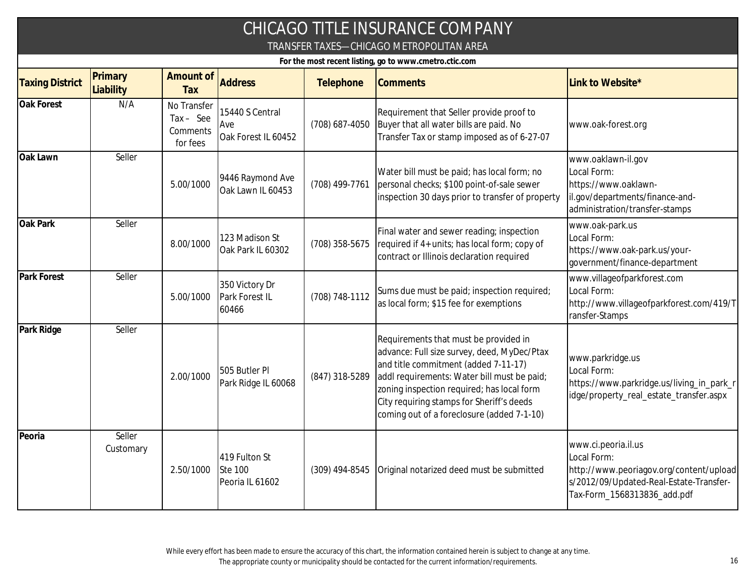|                                                        |                      |                                                    |                                                    |                | CHICAGO TITLE INSURANCE COMPANY<br>TRANSFER TAXES-CHICAGO METROPOLITAN AREA                                                                                                                                                                                                                                          |                                                                                                                                                         |  |  |  |
|--------------------------------------------------------|----------------------|----------------------------------------------------|----------------------------------------------------|----------------|----------------------------------------------------------------------------------------------------------------------------------------------------------------------------------------------------------------------------------------------------------------------------------------------------------------------|---------------------------------------------------------------------------------------------------------------------------------------------------------|--|--|--|
| For the most recent listing, go to www.cmetro.ctic.com |                      |                                                    |                                                    |                |                                                                                                                                                                                                                                                                                                                      |                                                                                                                                                         |  |  |  |
| <b>Taxing District</b>                                 | Primary<br>Liability | Amount of<br>Tax                                   | <b>Address</b>                                     | Telephone      | <b>Comments</b>                                                                                                                                                                                                                                                                                                      | Link to Website*                                                                                                                                        |  |  |  |
| Oak Forest                                             | N/A                  | No Transfer<br>$Tax - See$<br>Comments<br>for fees | 15440 S Central<br>Ave<br>Oak Forest IL 60452      | (708) 687-4050 | Requirement that Seller provide proof to<br>Buyer that all water bills are paid. No<br>Transfer Tax or stamp imposed as of 6-27-07                                                                                                                                                                                   | www.oak-forest.org                                                                                                                                      |  |  |  |
| Oak Lawn                                               | Seller               | 5.00/1000                                          | 9446 Raymond Ave<br>Oak Lawn IL 60453              | (708) 499-7761 | Water bill must be paid; has local form; no<br>personal checks; \$100 point-of-sale sewer<br>inspection 30 days prior to transfer of property                                                                                                                                                                        | www.oaklawn-il.gov<br>Local Form:<br>https://www.oaklawn-<br>il.gov/departments/finance-and-<br>administration/transfer-stamps                          |  |  |  |
| Oak Park                                               | Seller               | 8.00/1000                                          | 123 Madison St<br>Oak Park IL 60302                | (708) 358-5675 | Final water and sewer reading; inspection<br>required if 4+ units; has local form; copy of<br>contract or Illinois declaration required                                                                                                                                                                              | www.oak-park.us<br>Local Form:<br>https://www.oak-park.us/your-<br>government/finance-department                                                        |  |  |  |
| Park Forest                                            | Seller               | 5.00/1000                                          | 350 Victory Dr<br>Park Forest IL<br>60466          | (708) 748-1112 | Sums due must be paid; inspection required;<br>as local form; \$15 fee for exemptions                                                                                                                                                                                                                                | www.villageofparkforest.com<br>Local Form:<br>http://www.villageofparkforest.com/419/T<br>ransfer-Stamps                                                |  |  |  |
| Park Ridge                                             | Seller               | 2.00/1000                                          | 505 Butler PI<br>Park Ridge IL 60068               | (847) 318-5289 | Requirements that must be provided in<br>advance: Full size survey, deed, MyDec/Ptax<br>and title commitment (added 7-11-17)<br>addl requirements: Water bill must be paid;<br>zoning inspection required; has local form<br>City requiring stamps for Sheriff's deeds<br>coming out of a foreclosure (added 7-1-10) | www.parkridge.us<br>Local Form:<br>https://www.parkridge.us/living_in_park_r<br>idge/property_real_estate_transfer.aspx                                 |  |  |  |
| Peoria                                                 | Seller<br>Customary  | 2.50/1000                                          | 419 Fulton St<br><b>Ste 100</b><br>Peoria IL 61602 | (309) 494-8545 | Original notarized deed must be submitted                                                                                                                                                                                                                                                                            | www.ci.peoria.il.us<br>Local Form:<br>http://www.peoriagov.org/content/upload<br>s/2012/09/Updated-Real-Estate-Transfer-<br>Tax-Form_1568313836_add.pdf |  |  |  |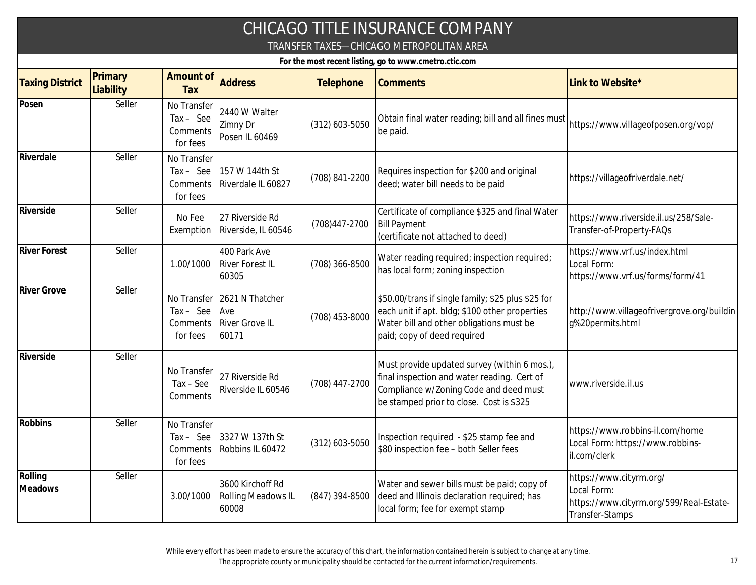|                                                                                                    |                      |                                                    |                                                                      |                  | CHICAGO TITLE INSURANCE COMPANY                                                                                                                                                   |                                                                                                      |  |  |
|----------------------------------------------------------------------------------------------------|----------------------|----------------------------------------------------|----------------------------------------------------------------------|------------------|-----------------------------------------------------------------------------------------------------------------------------------------------------------------------------------|------------------------------------------------------------------------------------------------------|--|--|
| TRANSFER TAXES-CHICAGO METROPOLITAN AREA<br>For the most recent listing, go to www.cmetro.ctic.com |                      |                                                    |                                                                      |                  |                                                                                                                                                                                   |                                                                                                      |  |  |
| <b>Taxing District</b>                                                                             | Primary<br>Liability | Amount of<br>Tax                                   | <b>Address</b>                                                       | Telephone        | <b>Comments</b>                                                                                                                                                                   | Link to Website*                                                                                     |  |  |
| Posen                                                                                              | Seller               | No Transfer<br>Tax - See<br>Comments<br>for fees   | 2440 W Walter<br>Zimny Dr<br>Posen IL 60469                          | $(312)$ 603-5050 | Obtain final water reading; bill and all fines must<br>be paid.                                                                                                                   | https://www.villageofposen.org/vop/                                                                  |  |  |
| Riverdale                                                                                          | Seller               | No Transfer<br>$Tax - See$<br>Comments<br>for fees | 157 W 144th St<br>Riverdale IL 60827                                 | (708) 841-2200   | Requires inspection for \$200 and original<br>deed; water bill needs to be paid                                                                                                   | https://villageofriverdale.net/                                                                      |  |  |
| Riverside                                                                                          | Seller               | No Fee<br>Exemption                                | 27 Riverside Rd<br>Riverside, IL 60546                               | (708) 447-2700   | Certificate of compliance \$325 and final Water<br><b>Bill Payment</b><br>(certificate not attached to deed)                                                                      | https://www.riverside.il.us/258/Sale-<br>Transfer-of-Property-FAQs                                   |  |  |
| <b>River Forest</b>                                                                                | Seller               | 1.00/1000                                          | 400 Park Ave<br><b>River Forest IL</b><br>60305                      | (708) 366-8500   | Water reading required; inspection required;<br>has local form; zoning inspection                                                                                                 | https://www.vrf.us/index.html<br>Local Form:<br>https://www.vrf.us/forms/form/41                     |  |  |
| <b>River Grove</b>                                                                                 | Seller               | $Tax - See$<br>Comments<br>for fees                | No Transfer 2621 N Thatcher<br>Ave<br><b>River Grove IL</b><br>60171 | (708) 453-8000   | \$50.00/trans if single family; \$25 plus \$25 for<br>each unit if apt. bldg; \$100 other properties<br>Water bill and other obligations must be<br>paid; copy of deed required   | http://www.villageofrivergrove.org/buildin<br>g%20permits.html                                       |  |  |
| Riverside                                                                                          | Seller               | No Transfer<br>$Tax - See$<br>Comments             | 27 Riverside Rd<br>Riverside IL 60546                                | (708) 447-2700   | Must provide updated survey (within 6 mos.),<br>final inspection and water reading. Cert of<br>Compliance w/Zoning Code and deed must<br>be stamped prior to close. Cost is \$325 | www.riverside.il.us                                                                                  |  |  |
| Robbins                                                                                            | Seller               | No Transfer<br>Comments<br>for fees                | Tax - See 3327 W 137th St<br>Robbins IL 60472                        | (312) 603-5050   | Inspection required - \$25 stamp fee and<br>\$80 inspection fee - both Seller fees                                                                                                | https://www.robbins-il.com/home<br>Local Form: https://www.robbins-<br>il.com/clerk                  |  |  |
| Rolling<br>Meadows                                                                                 | Seller               | 3.00/1000                                          | 3600 Kirchoff Rd<br><b>Rolling Meadows IL</b><br>60008               | (847) 394-8500   | Water and sewer bills must be paid; copy of<br>deed and Illinois declaration required; has<br>local form; fee for exempt stamp                                                    | https://www.cityrm.org/<br>Local Form:<br>https://www.cityrm.org/599/Real-Estate-<br>Transfer-Stamps |  |  |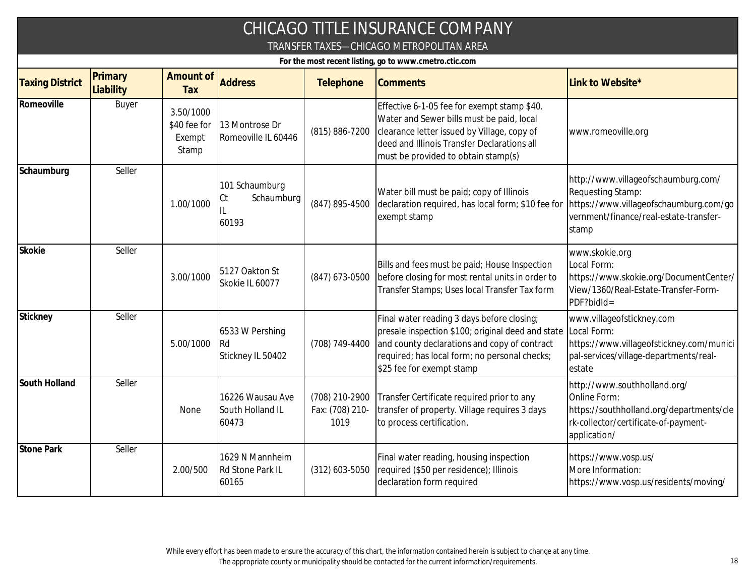|                        |                      |                                              |                                               |                                           | CHICAGO TITLE INSURANCE COMPANY<br>TRANSFER TAXES-CHICAGO METROPOLITAN AREA                                                                                                                                                               |                                                                                                                                                       |
|------------------------|----------------------|----------------------------------------------|-----------------------------------------------|-------------------------------------------|-------------------------------------------------------------------------------------------------------------------------------------------------------------------------------------------------------------------------------------------|-------------------------------------------------------------------------------------------------------------------------------------------------------|
|                        |                      |                                              |                                               |                                           | For the most recent listing, go to www.cmetro.ctic.com                                                                                                                                                                                    |                                                                                                                                                       |
| <b>Taxing District</b> | Primary<br>Liability | Amount of<br>Tax                             | <b>Address</b>                                | Telephone                                 | <b>Comments</b>                                                                                                                                                                                                                           | Link to Website*                                                                                                                                      |
| Romeoville             | Buyer                | 3.50/1000<br>\$40 fee for<br>Exempt<br>Stamp | 13 Montrose Dr<br>Romeoville IL 60446         | (815) 886-7200                            | Effective 6-1-05 fee for exempt stamp \$40.<br>Water and Sewer bills must be paid, local<br>clearance letter issued by Village, copy of<br>deed and Illinois Transfer Declarations all<br>must be provided to obtain stamp(s)             | www.romeoville.org                                                                                                                                    |
| Schaumburg             | Seller               | 1.00/1000                                    | 101 Schaumburg<br>Schaumburg<br>Ct<br>60193   | (847) 895-4500                            | Water bill must be paid; copy of Illinois<br>declaration required, has local form; \$10 fee for<br>exempt stamp                                                                                                                           | http://www.villageofschaumburg.com/<br>Requesting Stamp:<br>https://www.villageofschaumburg.com/go<br>vernment/finance/real-estate-transfer-<br>stamp |
| Skokie                 | Seller               | 3.00/1000                                    | 5127 Oakton St<br>Skokie IL 60077             | (847) 673-0500                            | Bills and fees must be paid; House Inspection<br>before closing for most rental units in order to<br>Transfer Stamps; Uses local Transfer Tax form                                                                                        | www.skokie.org<br>Local Form:<br>https://www.skokie.org/DocumentCenter/<br>View/1360/Real-Estate-Transfer-Form-<br>PDF?bidId=                         |
| Stickney               | Seller               | 5.00/1000                                    | 6533 W Pershing<br>l Rd<br>Stickney IL 50402  | (708) 749-4400                            | Final water reading 3 days before closing;<br>presale inspection \$100; original deed and state Local Form:<br>and county declarations and copy of contract<br>required; has local form; no personal checks;<br>\$25 fee for exempt stamp | www.villageofstickney.com<br>https://www.villageofstickney.com/munici<br>pal-services/village-departments/real-<br>estate                             |
| South Holland          | Seller               | None                                         | 16226 Wausau Ave<br>South Holland IL<br>60473 | (708) 210-2900<br>Fax: (708) 210-<br>1019 | Transfer Certificate required prior to any<br>transfer of property. Village requires 3 days<br>to process certification.                                                                                                                  | http://www.southholland.org/<br>Online Form:<br>https://southholland.org/departments/cle<br>rk-collector/certificate-of-payment-<br>application/      |
| <b>Stone Park</b>      | Seller               | 2.00/500                                     | 1629 N Mannheim<br>Rd Stone Park IL<br>60165  | $(312)$ 603-5050                          | Final water reading, housing inspection<br>required (\$50 per residence); Illinois<br>declaration form required                                                                                                                           | https://www.vosp.us/<br>More Information:<br>https://www.vosp.us/residents/moving/                                                                    |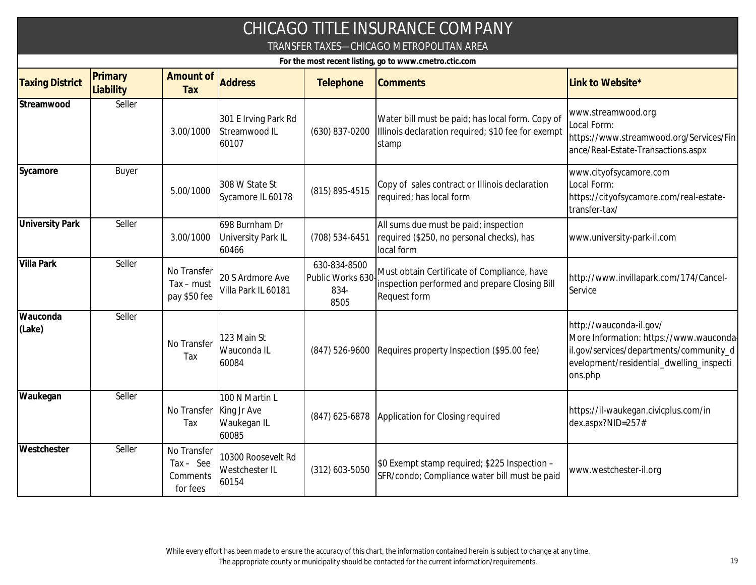|                                                        |                      |                                                    |                                                       |                                                  | CHICAGO TITLE INSURANCE COMPANY<br>TRANSFER TAXES-CHICAGO METROPOLITAN AREA                                         |                                                                                                                                                                      |  |  |  |
|--------------------------------------------------------|----------------------|----------------------------------------------------|-------------------------------------------------------|--------------------------------------------------|---------------------------------------------------------------------------------------------------------------------|----------------------------------------------------------------------------------------------------------------------------------------------------------------------|--|--|--|
| For the most recent listing, go to www.cmetro.ctic.com |                      |                                                    |                                                       |                                                  |                                                                                                                     |                                                                                                                                                                      |  |  |  |
| <b>Taxing District</b>                                 | Primary<br>Liability | Amount of<br>Tax                                   | <b>Address</b>                                        | Telephone                                        | <b>Comments</b>                                                                                                     | Link to Website*                                                                                                                                                     |  |  |  |
| Streamwood                                             | Seller               | 3.00/1000                                          | 301 E Irving Park Rd<br>Streamwood IL<br>60107        | (630) 837-0200                                   | Water bill must be paid; has local form. Copy of<br>Illinois declaration required; \$10 fee for exempt<br>stamp     | www.streamwood.org<br>Local Form:<br>https://www.streamwood.org/Services/Fin<br>ance/Real-Estate-Transactions.aspx                                                   |  |  |  |
| Sycamore                                               | Buyer                | 5.00/1000                                          | 308 W State St<br>Sycamore IL 60178                   | (815) 895-4515                                   | Copy of sales contract or Illinois declaration<br>required; has local form                                          | www.cityofsycamore.com<br>Local Form:<br>https://cityofsycamore.com/real-estate-<br>transfer-tax/                                                                    |  |  |  |
| <b>University Park</b>                                 | Seller               | 3.00/1000                                          | 698 Burnham Dr<br>University Park IL<br>60466         | (708) 534-6451                                   | All sums due must be paid; inspection<br>required (\$250, no personal checks), has<br>local form                    | www.university-park-il.com                                                                                                                                           |  |  |  |
| <b>Villa Park</b>                                      | Seller               | No Transfer<br>$Tax - must$<br>pay \$50 fee        | 20 S Ardmore Ave<br>Villa Park IL 60181               | 630-834-8500<br>Public Works 630<br>834-<br>8505 | Must obtain Certificate of Compliance, have<br>inspection performed and prepare Closing Bill<br><b>Request form</b> | http://www.invillapark.com/174/Cancel-<br>Service                                                                                                                    |  |  |  |
| Wauconda<br>(Lake)                                     | Seller               | No Transfer<br>Tax                                 | 123 Main St<br>Wauconda IL<br>60084                   | (847) 526-9600                                   | Requires property Inspection (\$95.00 fee)                                                                          | http://wauconda-il.gov/<br>More Information: https://www.wauconda-<br>il.gov/services/departments/community_d<br>evelopment/residential_dwelling_inspecti<br>ons.php |  |  |  |
| Waukegan                                               | Seller               | No Transfer<br>Tax                                 | 100 N Martin L<br>King Jr Ave<br>Waukegan IL<br>60085 | $(847)$ 625-6878                                 | Application for Closing required                                                                                    | https://il-waukegan.civicplus.com/in<br>dex.aspx?NID=257#                                                                                                            |  |  |  |
| Westchester                                            | Seller               | No Transfer<br>$Tax - See$<br>Comments<br>for fees | 10300 Roosevelt Rd<br>Westchester IL<br>60154         | $(312)$ 603-5050                                 | \$0 Exempt stamp required; \$225 Inspection -<br>SFR/condo; Compliance water bill must be paid                      | www.westchester-il.org                                                                                                                                               |  |  |  |